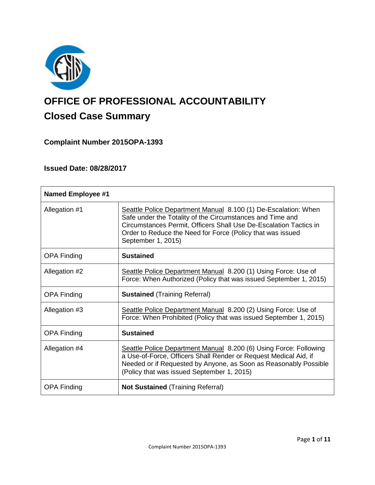

# **OFFICE OF PROFESSIONAL ACCOUNTABILITY Closed Case Summary**

# **Complaint Number 2015OPA-1393**

# **Issued Date: 08/28/2017**

| <b>Named Employee #1</b> |                                                                                                                                                                                                                                                                                      |
|--------------------------|--------------------------------------------------------------------------------------------------------------------------------------------------------------------------------------------------------------------------------------------------------------------------------------|
| Allegation #1            | Seattle Police Department Manual 8.100 (1) De-Escalation: When<br>Safe under the Totality of the Circumstances and Time and<br>Circumstances Permit, Officers Shall Use De-Escalation Tactics in<br>Order to Reduce the Need for Force (Policy that was issued<br>September 1, 2015) |
| <b>OPA Finding</b>       | <b>Sustained</b>                                                                                                                                                                                                                                                                     |
| Allegation #2            | Seattle Police Department Manual 8.200 (1) Using Force: Use of<br>Force: When Authorized (Policy that was issued September 1, 2015)                                                                                                                                                  |
| <b>OPA Finding</b>       | <b>Sustained</b> (Training Referral)                                                                                                                                                                                                                                                 |
| Allegation #3            | Seattle Police Department Manual 8.200 (2) Using Force: Use of<br>Force: When Prohibited (Policy that was issued September 1, 2015)                                                                                                                                                  |
| <b>OPA Finding</b>       | <b>Sustained</b>                                                                                                                                                                                                                                                                     |
| Allegation #4            | Seattle Police Department Manual 8.200 (6) Using Force: Following<br>a Use-of-Force, Officers Shall Render or Request Medical Aid, if<br>Needed or if Requested by Anyone, as Soon as Reasonably Possible<br>(Policy that was issued September 1, 2015)                              |
| <b>OPA Finding</b>       | <b>Not Sustained (Training Referral)</b>                                                                                                                                                                                                                                             |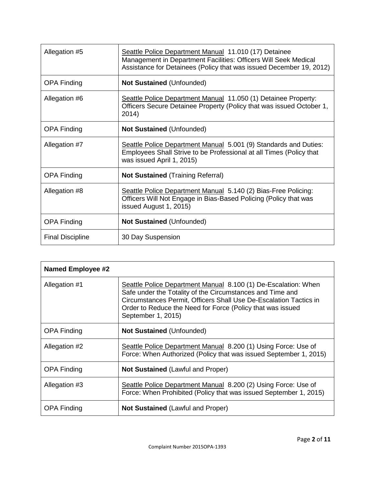| Allegation #5           | Seattle Police Department Manual 11.010 (17) Detainee<br>Management in Department Facilities: Officers Will Seek Medical<br>Assistance for Detainees (Policy that was issued December 19, 2012) |
|-------------------------|-------------------------------------------------------------------------------------------------------------------------------------------------------------------------------------------------|
| <b>OPA Finding</b>      | <b>Not Sustained (Unfounded)</b>                                                                                                                                                                |
| Allegation #6           | Seattle Police Department Manual 11.050 (1) Detainee Property:<br>Officers Secure Detainee Property (Policy that was issued October 1,<br>2014)                                                 |
| <b>OPA Finding</b>      | <b>Not Sustained (Unfounded)</b>                                                                                                                                                                |
| Allegation #7           | Seattle Police Department Manual 5.001 (9) Standards and Duties:<br>Employees Shall Strive to be Professional at all Times (Policy that<br>was issued April 1, 2015)                            |
| <b>OPA Finding</b>      | <b>Not Sustained (Training Referral)</b>                                                                                                                                                        |
| Allegation #8           | Seattle Police Department Manual 5.140 (2) Bias-Free Policing:<br>Officers Will Not Engage in Bias-Based Policing (Policy that was<br>issued August 1, 2015)                                    |
| <b>OPA Finding</b>      | <b>Not Sustained (Unfounded)</b>                                                                                                                                                                |
| <b>Final Discipline</b> | 30 Day Suspension                                                                                                                                                                               |

| <b>Named Employee #2</b> |                                                                                                                                                                                                                                                                                      |
|--------------------------|--------------------------------------------------------------------------------------------------------------------------------------------------------------------------------------------------------------------------------------------------------------------------------------|
| Allegation #1            | Seattle Police Department Manual 8.100 (1) De-Escalation: When<br>Safe under the Totality of the Circumstances and Time and<br>Circumstances Permit, Officers Shall Use De-Escalation Tactics in<br>Order to Reduce the Need for Force (Policy that was issued<br>September 1, 2015) |
| <b>OPA Finding</b>       | <b>Not Sustained (Unfounded)</b>                                                                                                                                                                                                                                                     |
| Allegation #2            | Seattle Police Department Manual 8.200 (1) Using Force: Use of<br>Force: When Authorized (Policy that was issued September 1, 2015)                                                                                                                                                  |
| <b>OPA Finding</b>       | <b>Not Sustained (Lawful and Proper)</b>                                                                                                                                                                                                                                             |
| Allegation #3            | Seattle Police Department Manual 8.200 (2) Using Force: Use of<br>Force: When Prohibited (Policy that was issued September 1, 2015)                                                                                                                                                  |
| <b>OPA Finding</b>       | <b>Not Sustained (Lawful and Proper)</b>                                                                                                                                                                                                                                             |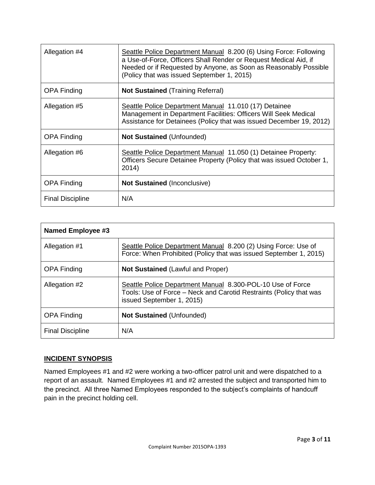| Allegation #4           | Seattle Police Department Manual 8.200 (6) Using Force: Following<br>a Use-of-Force, Officers Shall Render or Request Medical Aid, if<br>Needed or if Requested by Anyone, as Soon as Reasonably Possible<br>(Policy that was issued September 1, 2015) |
|-------------------------|---------------------------------------------------------------------------------------------------------------------------------------------------------------------------------------------------------------------------------------------------------|
| OPA Finding             | <b>Not Sustained (Training Referral)</b>                                                                                                                                                                                                                |
| Allegation #5           | Seattle Police Department Manual 11.010 (17) Detainee<br>Management in Department Facilities: Officers Will Seek Medical<br>Assistance for Detainees (Policy that was issued December 19, 2012)                                                         |
| <b>OPA Finding</b>      | <b>Not Sustained (Unfounded)</b>                                                                                                                                                                                                                        |
| Allegation #6           | Seattle Police Department Manual 11.050 (1) Detainee Property:<br>Officers Secure Detainee Property (Policy that was issued October 1,<br>2014)                                                                                                         |
| <b>OPA Finding</b>      | <b>Not Sustained (Inconclusive)</b>                                                                                                                                                                                                                     |
| <b>Final Discipline</b> | N/A                                                                                                                                                                                                                                                     |

| <b>Named Employee #3</b> |                                                                                                                                                               |
|--------------------------|---------------------------------------------------------------------------------------------------------------------------------------------------------------|
| Allegation #1            | Seattle Police Department Manual 8.200 (2) Using Force: Use of<br>Force: When Prohibited (Policy that was issued September 1, 2015)                           |
| <b>OPA Finding</b>       | <b>Not Sustained (Lawful and Proper)</b>                                                                                                                      |
| Allegation #2            | Seattle Police Department Manual 8.300-POL-10 Use of Force<br>Tools: Use of Force – Neck and Carotid Restraints (Policy that was<br>issued September 1, 2015) |
| <b>OPA Finding</b>       | <b>Not Sustained (Unfounded)</b>                                                                                                                              |
| <b>Final Discipline</b>  | N/A                                                                                                                                                           |

## **INCIDENT SYNOPSIS**

Named Employees #1 and #2 were working a two-officer patrol unit and were dispatched to a report of an assault. Named Employees #1 and #2 arrested the subject and transported him to the precinct. All three Named Employees responded to the subject's complaints of handcuff pain in the precinct holding cell.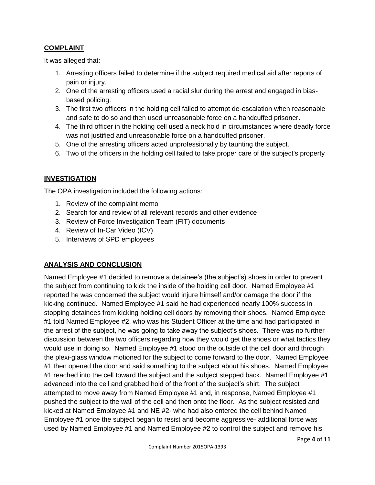### **COMPLAINT**

It was alleged that:

- 1. Arresting officers failed to determine if the subject required medical aid after reports of pain or injury.
- 2. One of the arresting officers used a racial slur during the arrest and engaged in biasbased policing.
- 3. The first two officers in the holding cell failed to attempt de-escalation when reasonable and safe to do so and then used unreasonable force on a handcuffed prisoner.
- 4. The third officer in the holding cell used a neck hold in circumstances where deadly force was not justified and unreasonable force on a handcuffed prisoner.
- 5. One of the arresting officers acted unprofessionally by taunting the subject.
- 6. Two of the officers in the holding cell failed to take proper care of the subject's property

## **INVESTIGATION**

The OPA investigation included the following actions:

- 1. Review of the complaint memo
- 2. Search for and review of all relevant records and other evidence
- 3. Review of Force Investigation Team (FIT) documents
- 4. Review of In-Car Video (ICV)
- 5. Interviews of SPD employees

# **ANALYSIS AND CONCLUSION**

Named Employee #1 decided to remove a detainee's (the subject's) shoes in order to prevent the subject from continuing to kick the inside of the holding cell door. Named Employee #1 reported he was concerned the subject would injure himself and/or damage the door if the kicking continued. Named Employee #1 said he had experienced nearly 100% success in stopping detainees from kicking holding cell doors by removing their shoes. Named Employee #1 told Named Employee #2, who was his Student Officer at the time and had participated in the arrest of the subject, he was going to take away the subject's shoes. There was no further discussion between the two officers regarding how they would get the shoes or what tactics they would use in doing so. Named Employee #1 stood on the outside of the cell door and through the plexi-glass window motioned for the subject to come forward to the door. Named Employee #1 then opened the door and said something to the subject about his shoes. Named Employee #1 reached into the cell toward the subject and the subject stepped back. Named Employee #1 advanced into the cell and grabbed hold of the front of the subject's shirt. The subject attempted to move away from Named Employee #1 and, in response, Named Employee #1 pushed the subject to the wall of the cell and then onto the floor. As the subject resisted and kicked at Named Employee #1 and NE #2- who had also entered the cell behind Named Employee #1 once the subject began to resist and become aggressive- additional force was used by Named Employee #1 and Named Employee #2 to control the subject and remove his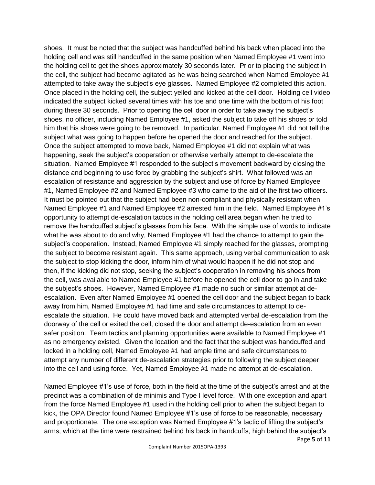shoes. It must be noted that the subject was handcuffed behind his back when placed into the holding cell and was still handcuffed in the same position when Named Employee #1 went into the holding cell to get the shoes approximately 30 seconds later. Prior to placing the subject in the cell, the subject had become agitated as he was being searched when Named Employee #1 attempted to take away the subject's eye glasses. Named Employee #2 completed this action. Once placed in the holding cell, the subject yelled and kicked at the cell door. Holding cell video indicated the subject kicked several times with his toe and one time with the bottom of his foot during these 30 seconds. Prior to opening the cell door in order to take away the subject's shoes, no officer, including Named Employee #1, asked the subject to take off his shoes or told him that his shoes were going to be removed. In particular, Named Employee #1 did not tell the subject what was going to happen before he opened the door and reached for the subject. Once the subject attempted to move back, Named Employee #1 did not explain what was happening, seek the subject's cooperation or otherwise verbally attempt to de-escalate the situation. Named Employee #1 responded to the subject's movement backward by closing the distance and beginning to use force by grabbing the subject's shirt. What followed was an escalation of resistance and aggression by the subject and use of force by Named Employee #1, Named Employee #2 and Named Employee #3 who came to the aid of the first two officers. It must be pointed out that the subject had been non-compliant and physically resistant when Named Employee #1 and Named Employee #2 arrested him in the field. Named Employee #1's opportunity to attempt de-escalation tactics in the holding cell area began when he tried to remove the handcuffed subject's glasses from his face. With the simple use of words to indicate what he was about to do and why, Named Employee #1 had the chance to attempt to gain the subject's cooperation. Instead, Named Employee #1 simply reached for the glasses, prompting the subject to become resistant again. This same approach, using verbal communication to ask the subject to stop kicking the door, inform him of what would happen if he did not stop and then, if the kicking did not stop, seeking the subject's cooperation in removing his shoes from the cell, was available to Named Employee #1 before he opened the cell door to go in and take the subject's shoes. However, Named Employee #1 made no such or similar attempt at deescalation. Even after Named Employee #1 opened the cell door and the subject began to back away from him, Named Employee #1 had time and safe circumstances to attempt to deescalate the situation. He could have moved back and attempted verbal de-escalation from the doorway of the cell or exited the cell, closed the door and attempt de-escalation from an even safer position. Team tactics and planning opportunities were available to Named Employee #1 as no emergency existed. Given the location and the fact that the subject was handcuffed and locked in a holding cell, Named Employee #1 had ample time and safe circumstances to attempt any number of different de-escalation strategies prior to following the subject deeper into the cell and using force. Yet, Named Employee #1 made no attempt at de-escalation.

Page **5** of **11** Named Employee #1's use of force, both in the field at the time of the subject's arrest and at the precinct was a combination of de minimis and Type I level force. With one exception and apart from the force Named Employee #1 used in the holding cell prior to when the subject began to kick, the OPA Director found Named Employee #1's use of force to be reasonable, necessary and proportionate. The one exception was Named Employee #1's tactic of lifting the subject's arms, which at the time were restrained behind his back in handcuffs, high behind the subject's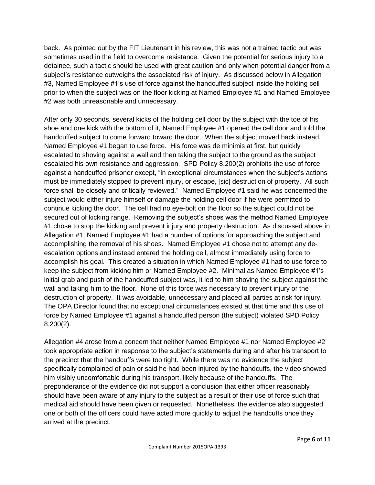back. As pointed out by the FIT Lieutenant in his review, this was not a trained tactic but was sometimes used in the field to overcome resistance. Given the potential for serious injury to a detainee, such a tactic should be used with great caution and only when potential danger from a subject's resistance outweighs the associated risk of injury. As discussed below in Allegation #3, Named Employee #1's use of force against the handcuffed subject inside the holding cell prior to when the subject was on the floor kicking at Named Employee #1 and Named Employee #2 was both unreasonable and unnecessary.

After only 30 seconds, several kicks of the holding cell door by the subject with the toe of his shoe and one kick with the bottom of it, Named Employee #1 opened the cell door and told the handcuffed subject to come forward toward the door. When the subject moved back instead, Named Employee #1 began to use force. His force was de minimis at first, but quickly escalated to shoving against a wall and then taking the subject to the ground as the subject escalated his own resistance and aggression. SPD Policy 8.200(2) prohibits the use of force against a handcuffed prisoner except, "in exceptional circumstances when the subject's actions must be immediately stopped to prevent injury, or escape, [sic] destruction of property. All such force shall be closely and critically reviewed." Named Employee #1 said he was concerned the subject would either injure himself or damage the holding cell door if he were permitted to continue kicking the door. The cell had no eye-bolt on the floor so the subject could not be secured out of kicking range. Removing the subject's shoes was the method Named Employee #1 chose to stop the kicking and prevent injury and property destruction. As discussed above in Allegation #1, Named Employee #1 had a number of options for approaching the subject and accomplishing the removal of his shoes. Named Employee #1 chose not to attempt any deescalation options and instead entered the holding cell, almost immediately using force to accomplish his goal. This created a situation in which Named Employee #1 had to use force to keep the subject from kicking him or Named Employee #2. Minimal as Named Employee #1's initial grab and push of the handcuffed subject was, it led to him shoving the subject against the wall and taking him to the floor. None of this force was necessary to prevent injury or the destruction of property. It was avoidable, unnecessary and placed all parties at risk for injury. The OPA Director found that no exceptional circumstances existed at that time and this use of force by Named Employee #1 against a handcuffed person (the subject) violated SPD Policy 8.200(2).

Allegation #4 arose from a concern that neither Named Employee #1 nor Named Employee #2 took appropriate action in response to the subject's statements during and after his transport to the precinct that the handcuffs were too tight. While there was no evidence the subject specifically complained of pain or said he had been injured by the handcuffs, the video showed him visibly uncomfortable during his transport, likely because of the handcuffs. The preponderance of the evidence did not support a conclusion that either officer reasonably should have been aware of any injury to the subject as a result of their use of force such that medical aid should have been given or requested. Nonetheless, the evidence also suggested one or both of the officers could have acted more quickly to adjust the handcuffs once they arrived at the precinct.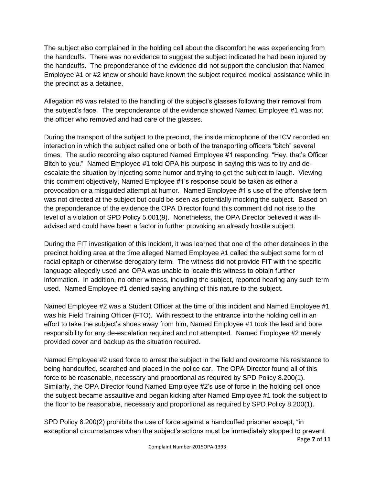The subject also complained in the holding cell about the discomfort he was experiencing from the handcuffs. There was no evidence to suggest the subject indicated he had been injured by the handcuffs. The preponderance of the evidence did not support the conclusion that Named Employee #1 or #2 knew or should have known the subject required medical assistance while in the precinct as a detainee.

Allegation #6 was related to the handling of the subject's glasses following their removal from the subject's face. The preponderance of the evidence showed Named Employee #1 was not the officer who removed and had care of the glasses.

During the transport of the subject to the precinct, the inside microphone of the ICV recorded an interaction in which the subject called one or both of the transporting officers "bitch" several times. The audio recording also captured Named Employee #1 responding, "Hey, that's Officer Bitch to you." Named Employee #1 told OPA his purpose in saying this was to try and deescalate the situation by injecting some humor and trying to get the subject to laugh. Viewing this comment objectively, Named Employee #1's response could be taken as either a provocation or a misguided attempt at humor. Named Employee #1's use of the offensive term was not directed at the subject but could be seen as potentially mocking the subject. Based on the preponderance of the evidence the OPA Director found this comment did not rise to the level of a violation of SPD Policy 5.001(9). Nonetheless, the OPA Director believed it was illadvised and could have been a factor in further provoking an already hostile subject.

During the FIT investigation of this incident, it was learned that one of the other detainees in the precinct holding area at the time alleged Named Employee #1 called the subject some form of racial epitaph or otherwise derogatory term. The witness did not provide FIT with the specific language allegedly used and OPA was unable to locate this witness to obtain further information. In addition, no other witness, including the subject, reported hearing any such term used. Named Employee #1 denied saying anything of this nature to the subject.

Named Employee #2 was a Student Officer at the time of this incident and Named Employee #1 was his Field Training Officer (FTO). With respect to the entrance into the holding cell in an effort to take the subject's shoes away from him, Named Employee #1 took the lead and bore responsibility for any de-escalation required and not attempted. Named Employee #2 merely provided cover and backup as the situation required.

Named Employee #2 used force to arrest the subject in the field and overcome his resistance to being handcuffed, searched and placed in the police car. The OPA Director found all of this force to be reasonable, necessary and proportional as required by SPD Policy 8.200(1). Similarly, the OPA Director found Named Employee #2's use of force in the holding cell once the subject became assaultive and began kicking after Named Employee #1 took the subject to the floor to be reasonable, necessary and proportional as required by SPD Policy 8.200(1).

Page **7** of **11** SPD Policy 8.200(2) prohibits the use of force against a handcuffed prisoner except, "in exceptional circumstances when the subject's actions must be immediately stopped to prevent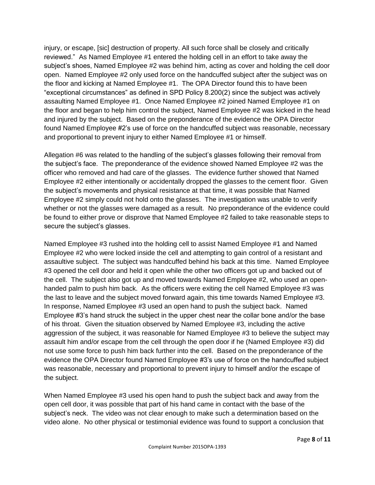injury, or escape, [sic] destruction of property. All such force shall be closely and critically reviewed." As Named Employee #1 entered the holding cell in an effort to take away the subject's shoes, Named Employee #2 was behind him, acting as cover and holding the cell door open. Named Employee #2 only used force on the handcuffed subject after the subject was on the floor and kicking at Named Employee #1. The OPA Director found this to have been "exceptional circumstances" as defined in SPD Policy 8.200(2) since the subject was actively assaulting Named Employee #1. Once Named Employee #2 joined Named Employee #1 on the floor and began to help him control the subject, Named Employee #2 was kicked in the head and injured by the subject. Based on the preponderance of the evidence the OPA Director found Named Employee #2's use of force on the handcuffed subject was reasonable, necessary and proportional to prevent injury to either Named Employee #1 or himself.

Allegation #6 was related to the handling of the subject's glasses following their removal from the subject's face. The preponderance of the evidence showed Named Employee #2 was the officer who removed and had care of the glasses. The evidence further showed that Named Employee #2 either intentionally or accidentally dropped the glasses to the cement floor. Given the subject's movements and physical resistance at that time, it was possible that Named Employee #2 simply could not hold onto the glasses. The investigation was unable to verify whether or not the glasses were damaged as a result. No preponderance of the evidence could be found to either prove or disprove that Named Employee #2 failed to take reasonable steps to secure the subject's glasses.

Named Employee #3 rushed into the holding cell to assist Named Employee #1 and Named Employee #2 who were locked inside the cell and attempting to gain control of a resistant and assaultive subject. The subject was handcuffed behind his back at this time. Named Employee #3 opened the cell door and held it open while the other two officers got up and backed out of the cell. The subject also got up and moved towards Named Employee #2, who used an openhanded palm to push him back. As the officers were exiting the cell Named Employee #3 was the last to leave and the subject moved forward again, this time towards Named Employee #3. In response, Named Employee #3 used an open hand to push the subject back. Named Employee #3's hand struck the subject in the upper chest near the collar bone and/or the base of his throat. Given the situation observed by Named Employee #3, including the active aggression of the subject, it was reasonable for Named Employee #3 to believe the subject may assault him and/or escape from the cell through the open door if he (Named Employee #3) did not use some force to push him back further into the cell. Based on the preponderance of the evidence the OPA Director found Named Employee #3's use of force on the handcuffed subject was reasonable, necessary and proportional to prevent injury to himself and/or the escape of the subject.

When Named Employee #3 used his open hand to push the subject back and away from the open cell door, it was possible that part of his hand came in contact with the base of the subject's neck. The video was not clear enough to make such a determination based on the video alone. No other physical or testimonial evidence was found to support a conclusion that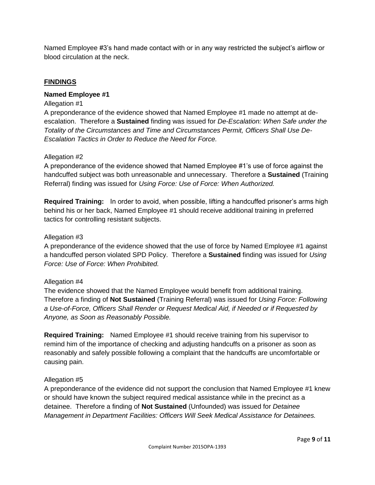Named Employee #3's hand made contact with or in any way restricted the subject's airflow or blood circulation at the neck.

#### **FINDINGS**

#### **Named Employee #1**

#### Allegation #1

A preponderance of the evidence showed that Named Employee #1 made no attempt at deescalation. Therefore a **Sustained** finding was issued for *De-Escalation: When Safe under the Totality of the Circumstances and Time and Circumstances Permit, Officers Shall Use De-Escalation Tactics in Order to Reduce the Need for Force.*

#### Allegation #2

A preponderance of the evidence showed that Named Employee #1's use of force against the handcuffed subject was both unreasonable and unnecessary. Therefore a **Sustained** (Training Referral) finding was issued for *Using Force: Use of Force: When Authorized.*

**Required Training:** In order to avoid, when possible, lifting a handcuffed prisoner's arms high behind his or her back, Named Employee #1 should receive additional training in preferred tactics for controlling resistant subjects.

#### Allegation #3

A preponderance of the evidence showed that the use of force by Named Employee #1 against a handcuffed person violated SPD Policy. Therefore a **Sustained** finding was issued for *Using Force: Use of Force: When Prohibited.*

#### Allegation #4

The evidence showed that the Named Employee would benefit from additional training. Therefore a finding of **Not Sustained** (Training Referral) was issued for *Using Force: Following a Use-of-Force, Officers Shall Render or Request Medical Aid, if Needed or if Requested by Anyone, as Soon as Reasonably Possible.*

**Required Training:** Named Employee #1 should receive training from his supervisor to remind him of the importance of checking and adjusting handcuffs on a prisoner as soon as reasonably and safely possible following a complaint that the handcuffs are uncomfortable or causing pain.

#### Allegation #5

A preponderance of the evidence did not support the conclusion that Named Employee #1 knew or should have known the subject required medical assistance while in the precinct as a detainee. Therefore a finding of **Not Sustained** (Unfounded) was issued for *Detainee Management in Department Facilities: Officers Will Seek Medical Assistance for Detainees.*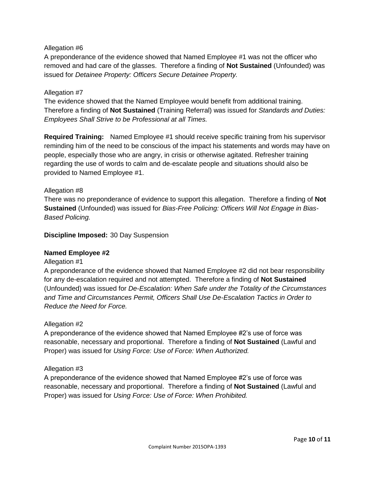#### Allegation #6

A preponderance of the evidence showed that Named Employee #1 was not the officer who removed and had care of the glasses. Therefore a finding of **Not Sustained** (Unfounded) was issued for *Detainee Property: Officers Secure Detainee Property.*

#### Allegation #7

The evidence showed that the Named Employee would benefit from additional training. Therefore a finding of **Not Sustained** (Training Referral) was issued for *Standards and Duties: Employees Shall Strive to be Professional at all Times.*

**Required Training:** Named Employee #1 should receive specific training from his supervisor reminding him of the need to be conscious of the impact his statements and words may have on people, especially those who are angry, in crisis or otherwise agitated. Refresher training regarding the use of words to calm and de-escalate people and situations should also be provided to Named Employee #1.

#### Allegation #8

There was no preponderance of evidence to support this allegation. Therefore a finding of **Not Sustained** (Unfounded) was issued for *Bias-Free Policing: Officers Will Not Engage in Bias-Based Policing.*

**Discipline Imposed:** 30 Day Suspension

#### **Named Employee #2**

#### Allegation #1

A preponderance of the evidence showed that Named Employee #2 did not bear responsibility for any de-escalation required and not attempted. Therefore a finding of **Not Sustained** (Unfounded) was issued for *De-Escalation: When Safe under the Totality of the Circumstances and Time and Circumstances Permit, Officers Shall Use De-Escalation Tactics in Order to Reduce the Need for Force.*

#### Allegation #2

A preponderance of the evidence showed that Named Employee #2's use of force was reasonable, necessary and proportional. Therefore a finding of **Not Sustained** (Lawful and Proper) was issued for *Using Force: Use of Force: When Authorized.*

#### Allegation #3

A preponderance of the evidence showed that Named Employee #2's use of force was reasonable, necessary and proportional. Therefore a finding of **Not Sustained** (Lawful and Proper) was issued for *Using Force: Use of Force: When Prohibited.*